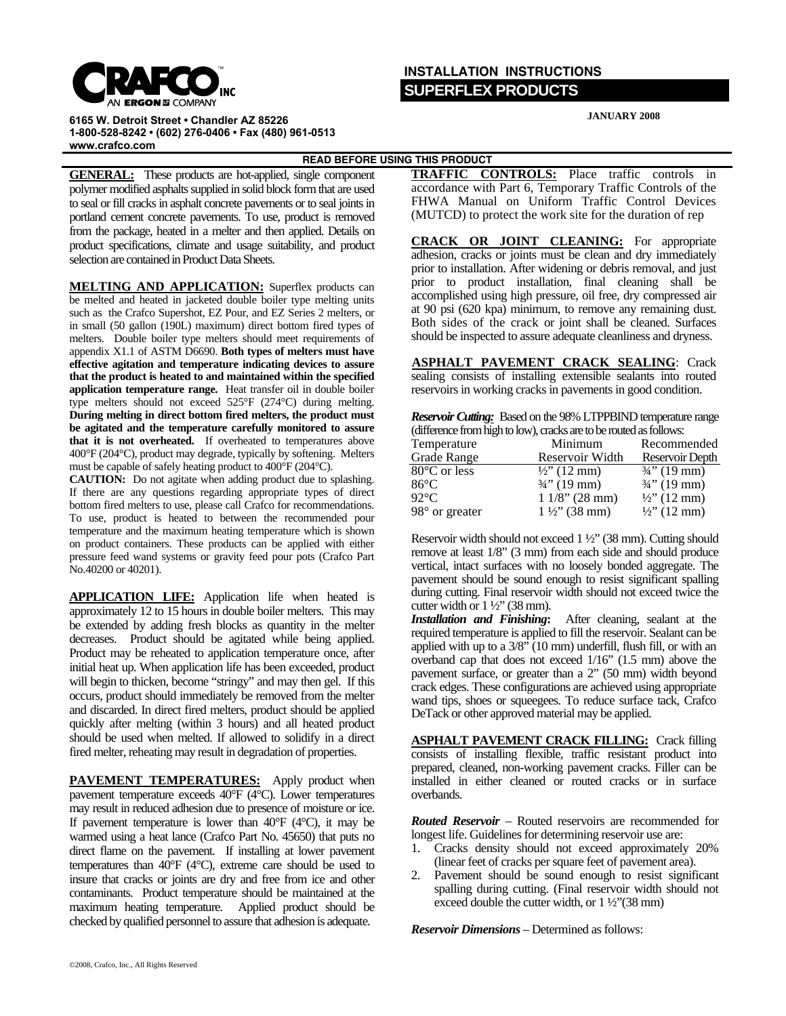

## **INSTALLATION INSTRUCTIONS SUPERFLEX PRODUCTS**

**6165 W. Detroit Street • Chandler AZ 85226 1-800-528-8242 • (602) 276-0406 • Fax (480) 961-0513 www.crafco.com**

**JANUARY 2008**

**READ BEFORE USING THIS PRODUCT** 

**GENERAL:** These products are hot-applied, single component polymer modified asphalts supplied in solid block form that are used to seal or fill cracks in asphalt concrete pavements or to seal joints in portland cement concrete pavements. To use, product is removed from the package, heated in a melter and then applied. Details on product specifications, climate and usage suitability, and product selection are contained in Product Data Sheets.

**MELTING AND APPLICATION:** Superflex products can be melted and heated in jacketed double boiler type melting units such as the Crafco Supershot, EZ Pour, and EZ Series 2 melters, or in small (50 gallon (190L) maximum) direct bottom fired types of melters.Double boiler type melters should meet requirements of appendix X1.1 of ASTM D6690. **Both types of melters must have effective agitation and temperature indicating devices to assure that the product is heated to and maintained within the specified application temperature range.** Heat transfer oil in double boiler type melters should not exceed 525°F (274°C) during melting. **During melting in direct bottom fired melters, the product must be agitated and the temperature carefully monitored to assure that it is not overheated.** If overheated to temperatures above 400°F (204°C), product may degrade, typically by softening. Melters must be capable of safely heating product to 400°F (204°C).

**CAUTION:** Do not agitate when adding product due to splashing. If there are any questions regarding appropriate types of direct bottom fired melters to use, please call Crafco for recommendations. To use, product is heated to between the recommended pour temperature and the maximum heating temperature which is shown on product containers. These products can be applied with either pressure feed wand systems or gravity feed pour pots (Crafco Part No.40200 or 40201).

**APPLICATION LIFE:** Application life when heated is approximately 12 to 15 hours in double boiler melters. This may be extended by adding fresh blocks as quantity in the melter decreases. Product should be agitated while being applied. Product may be reheated to application temperature once, after initial heat up. When application life has been exceeded, product will begin to thicken, become "stringy" and may then gel. If this occurs, product should immediately be removed from the melter and discarded. In direct fired melters, product should be applied quickly after melting (within 3 hours) and all heated product should be used when melted. If allowed to solidify in a direct fired melter, reheating may result in degradation of properties.

**PAVEMENT TEMPERATURES:** Apply product when pavement temperature exceeds 40°F (4°C). Lower temperatures may result in reduced adhesion due to presence of moisture or ice. If pavement temperature is lower than  $40^{\circ}$ F ( $4^{\circ}$ C), it may be warmed using a heat lance (Crafco Part No. 45650) that puts no direct flame on the pavement. If installing at lower pavement temperatures than 40°F (4°C), extreme care should be used to insure that cracks or joints are dry and free from ice and other contaminants. Product temperature should be maintained at the maximum heating temperature. Applied product should be checked by qualified personnel to assure that adhesion is adequate.

**TRAFFIC CONTROLS:** Place traffic controls in accordance with Part 6, Temporary Traffic Controls of the FHWA Manual on Uniform Traffic Control Devices (MUTCD) to protect the work site for the duration of rep

**CRACK OR JOINT CLEANING:** For appropriate adhesion, cracks or joints must be clean and dry immediately prior to installation. After widening or debris removal, and just prior to product installation, final cleaning shall be accomplished using high pressure, oil free, dry compressed air at 90 psi (620 kpa) minimum, to remove any remaining dust. Both sides of the crack or joint shall be cleaned. Surfaces should be inspected to assure adequate cleanliness and dryness.

 AS**ASPHALT PAVEMENT CRACK SEALING**: Crack sealing consists of installing extensible sealants into routed reservoirs in working cracks in pavements in good condition.

| <b>Reservoir Cutting:</b> Based on the 98% LTPPBIND temperature range |  |
|-----------------------------------------------------------------------|--|
| (difference from high to low), cracks are to be routed as follows:    |  |

| Temperature             | Minimum                  | Recommended             |
|-------------------------|--------------------------|-------------------------|
| Grade Range             | Reservoir Width          | Reservoir Depth         |
| 80°C or less            | $\frac{1}{2}$ (12 mm)    | $\frac{3}{4}$ " (19 mm) |
| $86^{\circ}$ C          | $\frac{3}{4}$ " (19 mm)  | $\frac{3}{4}$ " (19 mm) |
| $92^{\circ}$ C          | $11/8$ " (28 mm)         | $\frac{1}{2}$ (12 mm)   |
| $98^{\circ}$ or greater | $1\frac{1}{2}$ " (38 mm) | $\frac{1}{2}$ " (12 mm) |

Reservoir width should not exceed 1 ½" (38 mm). Cutting should remove at least 1/8" (3 mm) from each side and should produce vertical, intact surfaces with no loosely bonded aggregate. The pavement should be sound enough to resist significant spalling during cutting. Final reservoir width should not exceed twice the cutter width or  $1\frac{1}{2}$ " (38 mm).

*Installation and Finishing***:** After cleaning, sealant at the required temperature is applied to fill the reservoir. Sealant can be applied with up to a 3/8" (10 mm) underfill, flush fill, or with an overband cap that does not exceed 1/16" (1.5 mm) above the pavement surface, or greater than a 2" (50 mm) width beyond crack edges. These configurations are achieved using appropriate wand tips, shoes or squeegees. To reduce surface tack, Crafco DeTack or other approved material may be applied.

**ASPHALT PAVEMENT CRACK FILLING:** Crack filling consists of installing flexible, traffic resistant product into prepared, cleaned, non-working pavement cracks. Filler can be installed in either cleaned or routed cracks or in surface overbands.

*Routed Reservoir* – Routed reservoirs are recommended for longest life. Guidelines for determining reservoir use are:

- 1. Cracks density should not exceed approximately 20% (linear feet of cracks per square feet of pavement area).
- 2. Pavement should be sound enough to resist significant spalling during cutting. (Final reservoir width should not exceed double the cutter width, or 1 ½"(38 mm)

*Reservoir Dimensions* – Determined as follows: